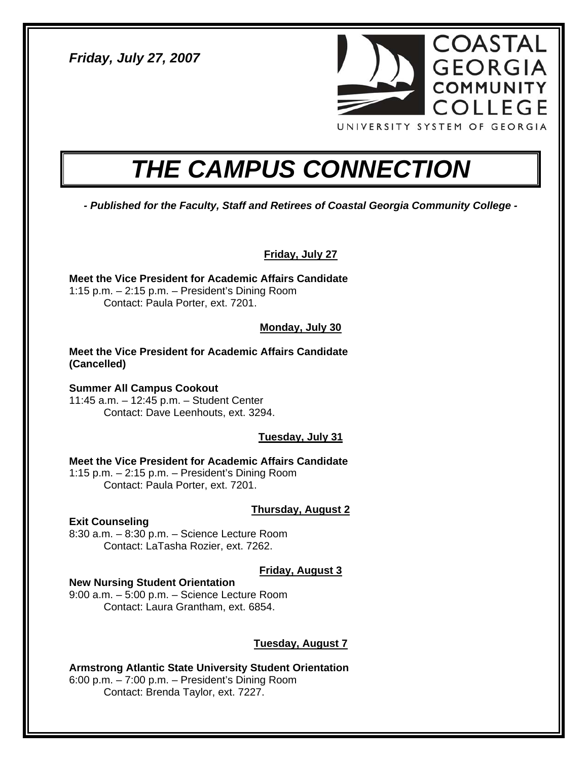*Friday, July 27, 2007* 



# *THE CAMPUS CONNECTION*

*- Published for the Faculty, Staff and Retirees of Coastal Georgia Community College -* 

**Friday, July 27**

**Meet the Vice President for Academic Affairs Candidate**  1:15 p.m. – 2:15 p.m. – President's Dining Room Contact: Paula Porter, ext. 7201.

#### **Monday, July 30**

**Meet the Vice President for Academic Affairs Candidate (Cancelled)** 

**Summer All Campus Cookout**  11:45 a.m. – 12:45 p.m. – Student Center Contact: Dave Leenhouts, ext. 3294.

#### **Tuesday, July 31**

**Meet the Vice President for Academic Affairs Candidate**  1:15 p.m. – 2:15 p.m. – President's Dining Room Contact: Paula Porter, ext. 7201.

#### **Thursday, August 2**

**Exit Counseling** 

8:30 a.m. – 8:30 p.m. – Science Lecture Room Contact: LaTasha Rozier, ext. 7262.

#### **Friday, August 3**

#### **New Nursing Student Orientation**

9:00 a.m. – 5:00 p.m. – Science Lecture Room Contact: Laura Grantham, ext. 6854.

#### **Tuesday, August 7**

**Armstrong Atlantic State University Student Orientation**  6:00 p.m. – 7:00 p.m. – President's Dining Room Contact: Brenda Taylor, ext. 7227.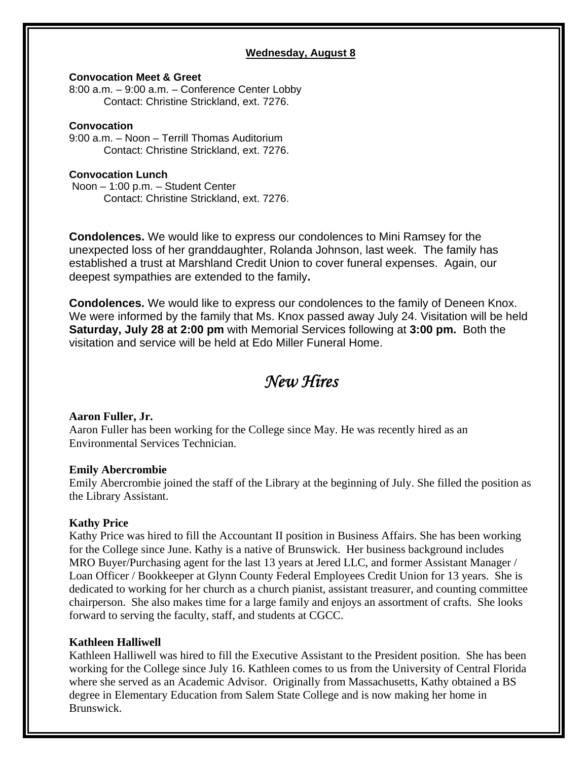#### **Wednesday, August 8**

#### **Convocation Meet & Greet**

8:00 a.m. – 9:00 a.m. – Conference Center Lobby Contact: Christine Strickland, ext. 7276.

#### **Convocation**

9:00 a.m. – Noon – Terrill Thomas Auditorium Contact: Christine Strickland, ext. 7276.

#### **Convocation Lunch**

Noon – 1:00 p.m. – Student Center Contact: Christine Strickland, ext. 7276.

**Condolences.** We would like to express our condolences to Mini Ramsey for the unexpected loss of her granddaughter, Rolanda Johnson, last week. The family has established a trust at Marshland Credit Union to cover funeral expenses. Again, our deepest sympathies are extended to the family**.** 

**Condolences.** We would like to express our condolences to the family of Deneen Knox. We were informed by the family that Ms. Knox passed away July 24. Visitation will be held **Saturday, July 28 at 2:00 pm** with Memorial Services following at **3:00 pm.** Both the visitation and service will be held at Edo Miller Funeral Home.

### *New Hires*

#### **Aaron Fuller, Jr.**

Aaron Fuller has been working for the College since May. He was recently hired as an Environmental Services Technician.

#### **Emily Abercrombie**

Emily Abercrombie joined the staff of the Library at the beginning of July. She filled the position as the Library Assistant.

#### **Kathy Price**

Kathy Price was hired to fill the Accountant II position in Business Affairs. She has been working for the College since June. Kathy is a native of Brunswick. Her business background includes MRO Buyer/Purchasing agent for the last 13 years at Jered LLC, and former Assistant Manager / Loan Officer / Bookkeeper at Glynn County Federal Employees Credit Union for 13 years. She is dedicated to working for her church as a church pianist, assistant treasurer, and counting committee chairperson. She also makes time for a large family and enjoys an assortment of crafts. She looks forward to serving the faculty, staff, and students at CGCC.

#### **Kathleen Halliwell**

Kathleen Halliwell was hired to fill the Executive Assistant to the President position. She has been working for the College since July 16. Kathleen comes to us from the University of Central Florida where she served as an Academic Advisor. Originally from Massachusetts, Kathy obtained a BS degree in Elementary Education from Salem State College and is now making her home in Brunswick.